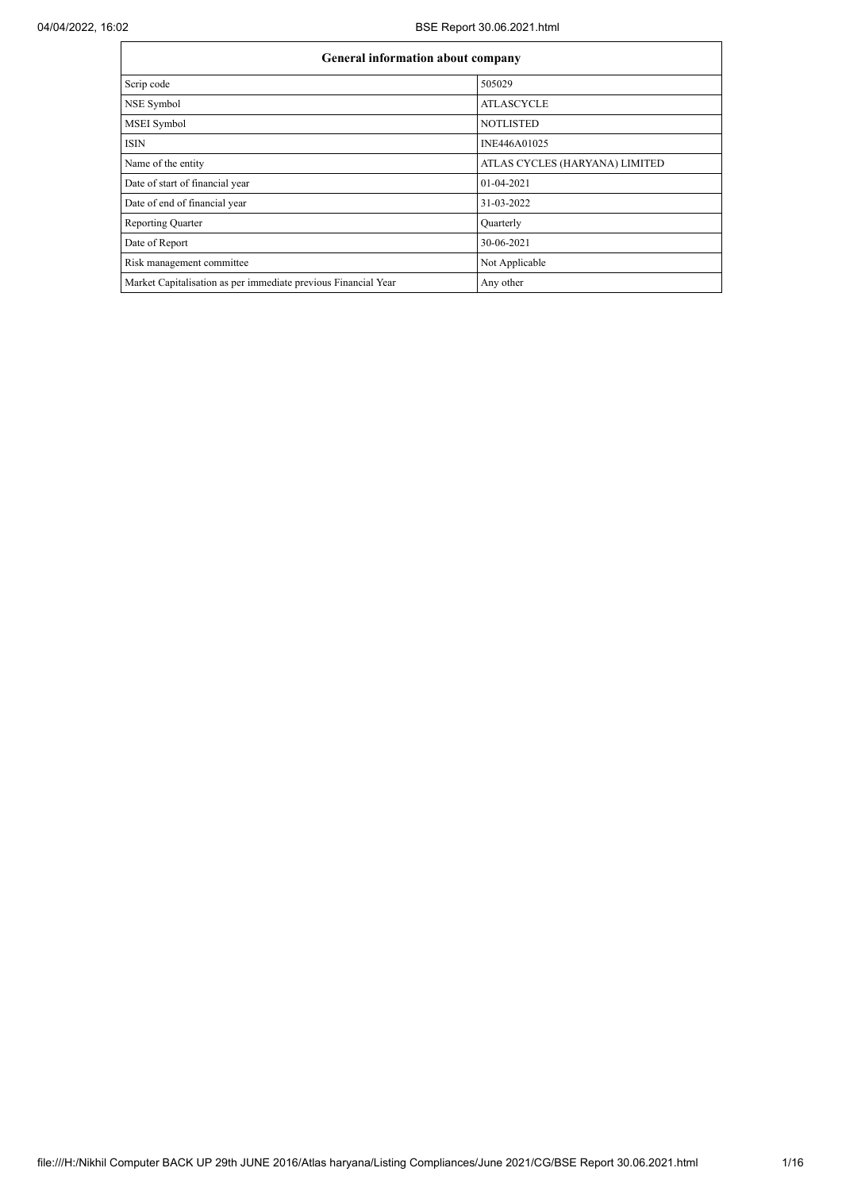| <b>General information about company</b>                       |                                |  |  |  |  |
|----------------------------------------------------------------|--------------------------------|--|--|--|--|
| Scrip code                                                     | 505029                         |  |  |  |  |
| NSE Symbol                                                     | <b>ATLASCYCLE</b>              |  |  |  |  |
| MSEI Symbol                                                    | <b>NOTLISTED</b>               |  |  |  |  |
| <b>ISIN</b>                                                    | INE446A01025                   |  |  |  |  |
| Name of the entity                                             | ATLAS CYCLES (HARYANA) LIMITED |  |  |  |  |
| Date of start of financial year                                | 01-04-2021                     |  |  |  |  |
| Date of end of financial year                                  | 31-03-2022                     |  |  |  |  |
| <b>Reporting Quarter</b>                                       | Quarterly                      |  |  |  |  |
| Date of Report                                                 | 30-06-2021                     |  |  |  |  |
| Risk management committee                                      | Not Applicable                 |  |  |  |  |
| Market Capitalisation as per immediate previous Financial Year | Any other                      |  |  |  |  |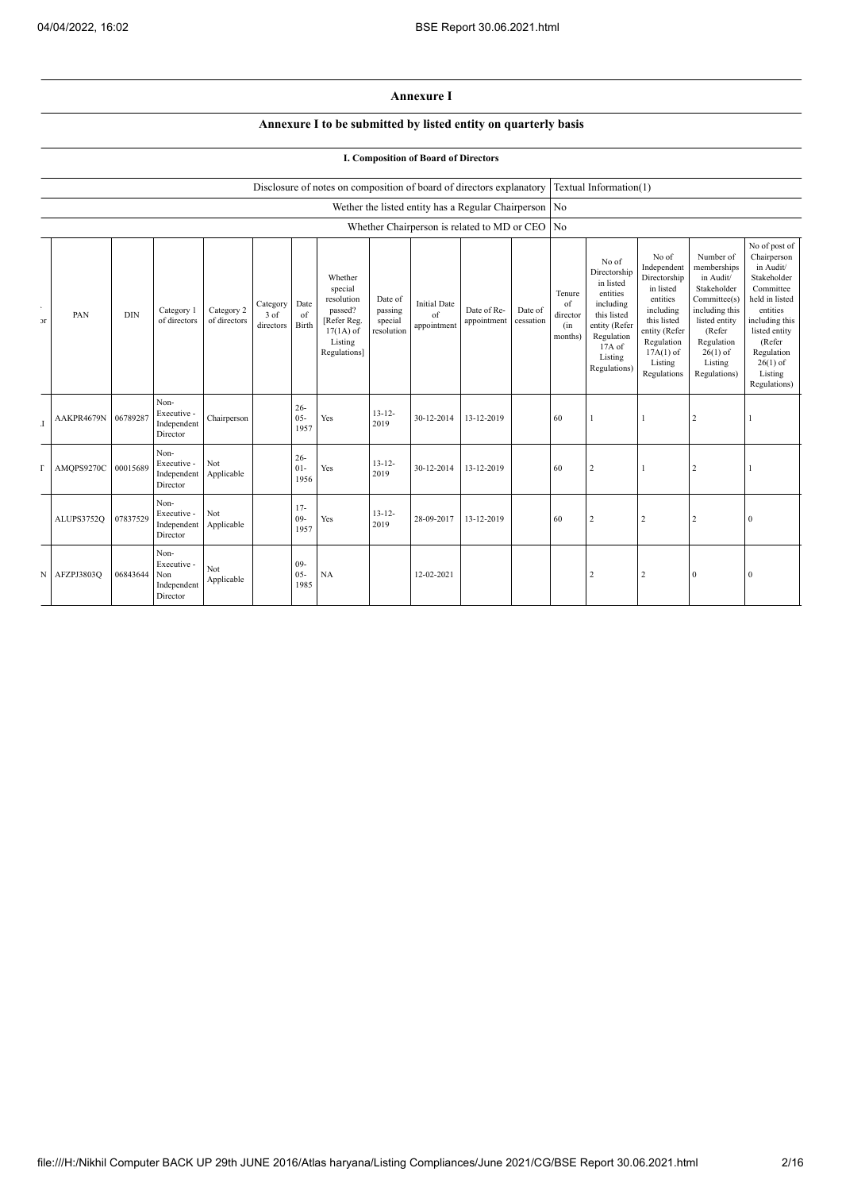## **Annexure I**

## **Annexure I to be submitted by listed entity on quarterly basis**

## **I. Composition of Board of Directors**

## Disclosure of notes on composition of board of directors explanatory Textual Information(1)

|                         |            |            |                                                       |                            |                                 |                          |                                                                                                      |                                             | Wether the listed entity has a Regular Chairperson No |                            |                      |                                            |                                                                                                                                                |                                                                                                                                                                   |                                                                                                                                                                          |                                                                                                                                                                                                         |
|-------------------------|------------|------------|-------------------------------------------------------|----------------------------|---------------------------------|--------------------------|------------------------------------------------------------------------------------------------------|---------------------------------------------|-------------------------------------------------------|----------------------------|----------------------|--------------------------------------------|------------------------------------------------------------------------------------------------------------------------------------------------|-------------------------------------------------------------------------------------------------------------------------------------------------------------------|--------------------------------------------------------------------------------------------------------------------------------------------------------------------------|---------------------------------------------------------------------------------------------------------------------------------------------------------------------------------------------------------|
|                         |            |            |                                                       |                            |                                 |                          |                                                                                                      |                                             | Whether Chairperson is related to MD or CEO No        |                            |                      |                                            |                                                                                                                                                |                                                                                                                                                                   |                                                                                                                                                                          |                                                                                                                                                                                                         |
| $\sim$<br>$\mathcal{F}$ | PAN        | <b>DIN</b> | Category 1<br>of directors                            | Category 2<br>of directors | Category  <br>3 of<br>directors | Date<br>of<br>Birth      | Whether<br>special<br>resolution<br>passed?<br>[Refer Reg.<br>$17(1A)$ of<br>Listing<br>Regulations] | Date of<br>passing<br>special<br>resolution | <b>Initial Date</b><br>of<br>appointment              | Date of Re-<br>appointment | Date of<br>cessation | Tenure<br>of<br>director<br>(in<br>months) | No of<br>Directorship<br>in listed<br>entities<br>including<br>this listed<br>entity (Refer<br>Regulation<br>17A of<br>Listing<br>Regulations) | No of<br>Independent<br>Directorship<br>in listed<br>entities<br>including<br>this listed<br>entity (Refer<br>Regulation<br>$17A(1)$ of<br>Listing<br>Regulations | Number of<br>memberships<br>in Audit/<br>Stakeholder<br>Committee(s)<br>including this<br>listed entity<br>(Refer<br>Regulation<br>$26(1)$ of<br>Listing<br>Regulations) | No of post of<br>Chairperson<br>in Audit/<br>Stakeholder<br>Committee<br>held in listed<br>entities<br>including this<br>listed entity<br>(Refer<br>Regulation<br>$26(1)$ of<br>Listing<br>Regulations) |
| $\mathbf I$             | AAKPR4679N | 06789287   | Non-<br>Executive -<br>Independent<br>Director        | Chairperson                |                                 | $26 -$<br>$05 -$<br>1957 | Yes                                                                                                  | $13 - 12 -$<br>2019                         | 30-12-2014                                            | 13-12-2019                 |                      | 60                                         |                                                                                                                                                |                                                                                                                                                                   | $\overline{2}$                                                                                                                                                           |                                                                                                                                                                                                         |
| г                       | AMQPS9270C | 00015689   | Non-<br>Executive -<br>Independent<br>Director        | Not<br>Applicable          |                                 | $26 -$<br>$01 -$<br>1956 | Yes                                                                                                  | $13 - 12 -$<br>2019                         | 30-12-2014                                            | 13-12-2019                 |                      | 60                                         | $\overline{2}$                                                                                                                                 |                                                                                                                                                                   | $\overline{2}$                                                                                                                                                           |                                                                                                                                                                                                         |
|                         | ALUPS3752Q | 07837529   | Non-<br>Executive -<br>Independent<br>Director        | Not<br>Applicable          |                                 | $17 -$<br>$09 -$<br>1957 | Yes                                                                                                  | $13 - 12 -$<br>2019                         | 28-09-2017                                            | 13-12-2019                 |                      | 60                                         | $\overline{2}$                                                                                                                                 | 2                                                                                                                                                                 | $\overline{2}$                                                                                                                                                           | $\Omega$                                                                                                                                                                                                |
| N                       | AFZPJ3803Q | 06843644   | Non-<br>Executive -<br>Non<br>Independent<br>Director | Not<br>Applicable          |                                 | $09 -$<br>$05 -$<br>1985 | NA                                                                                                   |                                             | 12-02-2021                                            |                            |                      |                                            | $\overline{\phantom{a}}$                                                                                                                       | $\overline{2}$                                                                                                                                                    | $\Omega$                                                                                                                                                                 | $\mathbf{0}$                                                                                                                                                                                            |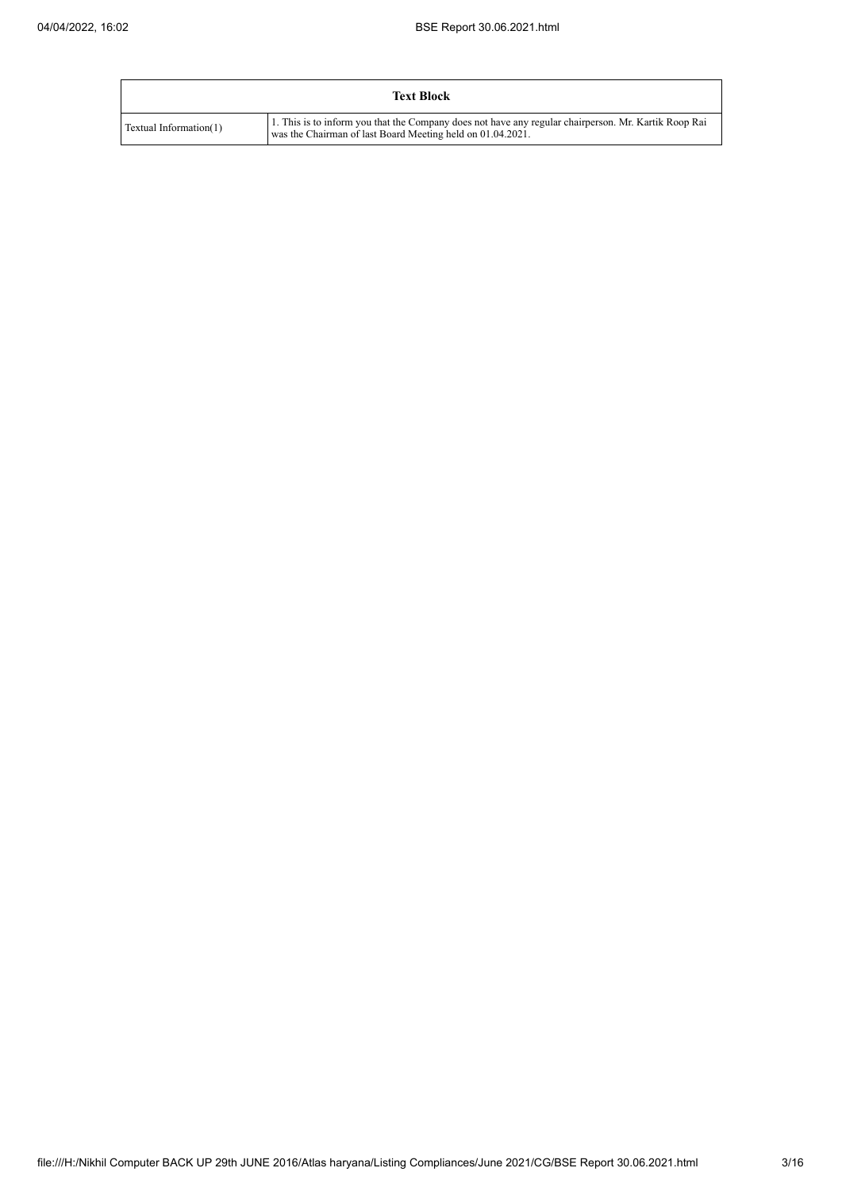|                        | <b>Text Block</b>                                                                                                                                                  |
|------------------------|--------------------------------------------------------------------------------------------------------------------------------------------------------------------|
| Textual Information(1) | 1. This is to inform you that the Company does not have any regular chairperson. Mr. Kartik Roop Rai<br>was the Chairman of last Board Meeting held on 01.04.2021. |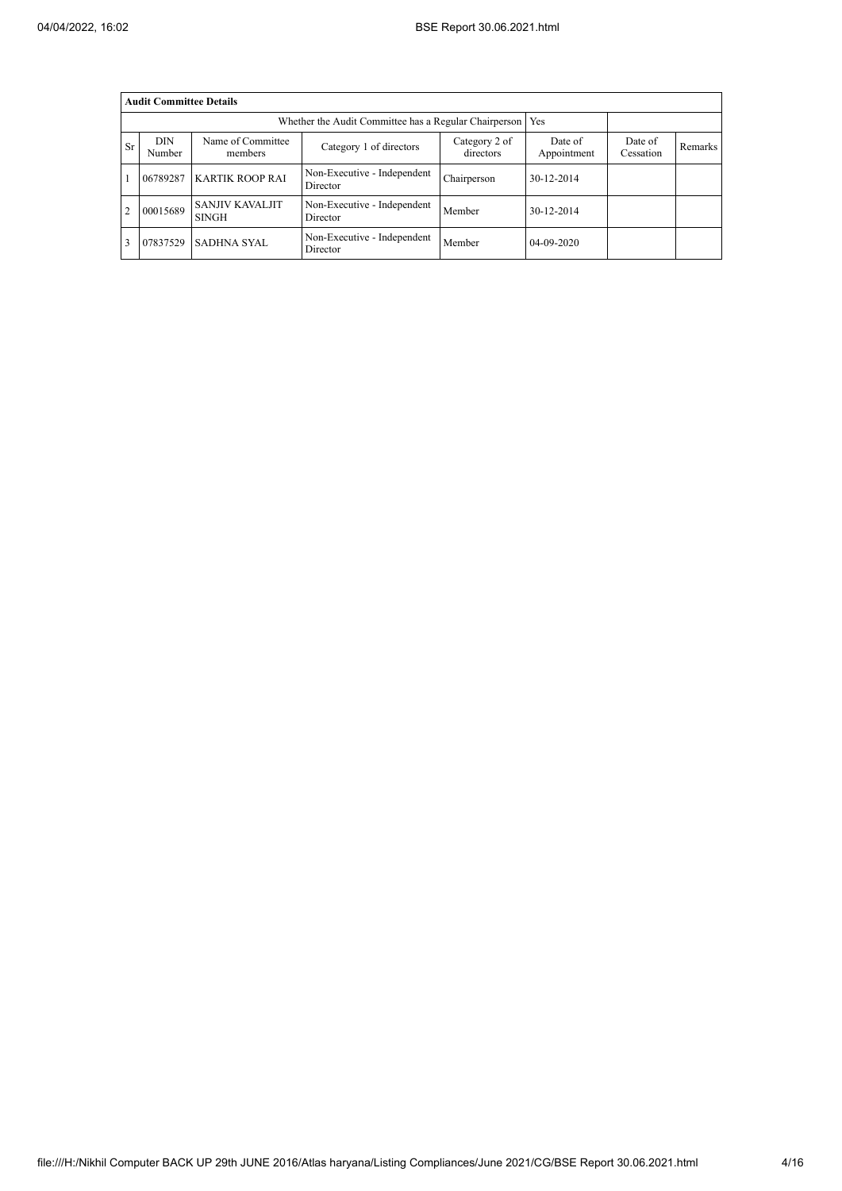|           | <b>Audit Committee Details</b> |                                                             |                                         |                            |                        |                      |         |
|-----------|--------------------------------|-------------------------------------------------------------|-----------------------------------------|----------------------------|------------------------|----------------------|---------|
|           |                                | Whether the Audit Committee has a Regular Chairperson   Yes |                                         |                            |                        |                      |         |
| <b>Sr</b> | <b>DIN</b><br>Number           | Name of Committee<br>members                                | Category 1 of directors                 | Category 2 of<br>directors | Date of<br>Appointment | Date of<br>Cessation | Remarks |
|           | 06789287                       | <b>KARTIK ROOP RAI</b>                                      | Non-Executive - Independent<br>Director | Chairperson                | 30-12-2014             |                      |         |
|           | 00015689                       | <b>SANJIV KAVALJIT</b><br><b>SINGH</b>                      | Non-Executive - Independent<br>Director | Member                     | 30-12-2014             |                      |         |
|           | 07837529                       | <b>SADHNA SYAL</b>                                          | Non-Executive - Independent<br>Director | Member                     | 04-09-2020             |                      |         |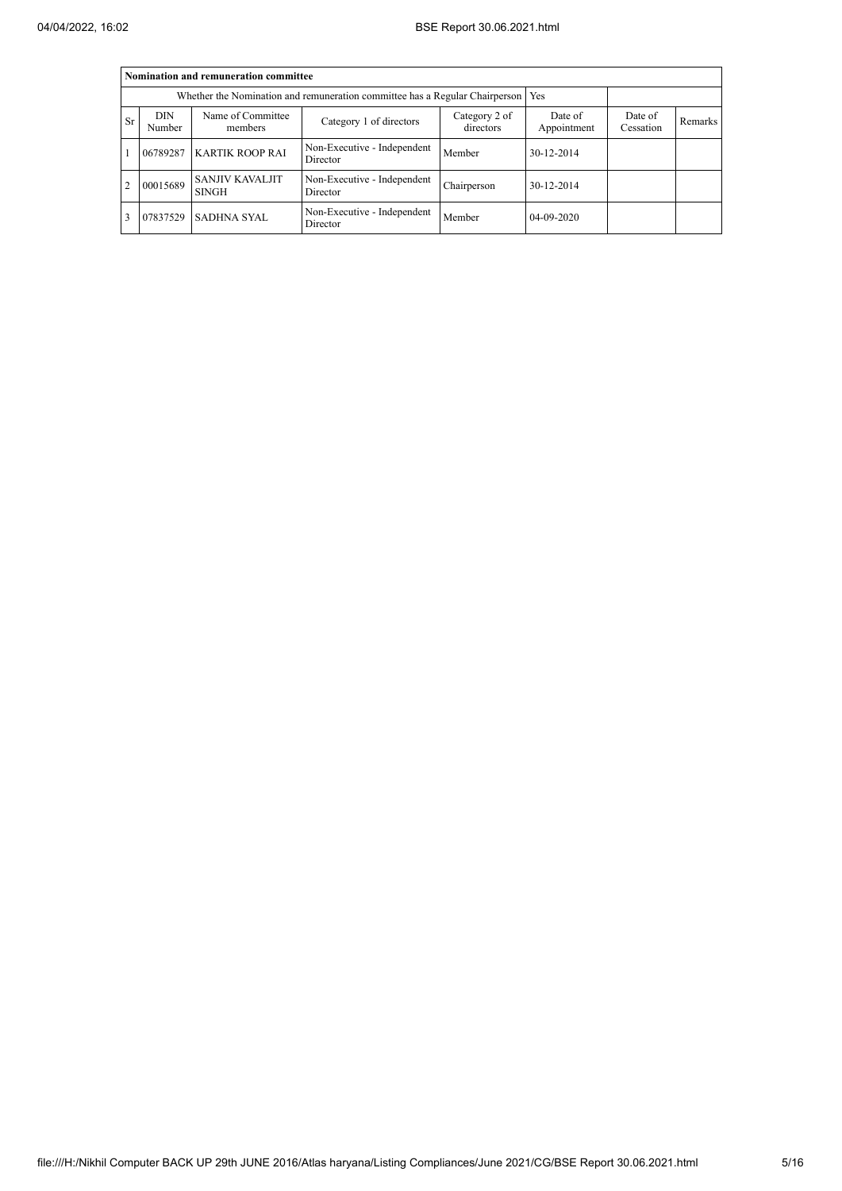|           | Nomination and remuneration committee |                                                                                   |                                         |                            |                        |                      |         |  |  |  |  |  |
|-----------|---------------------------------------|-----------------------------------------------------------------------------------|-----------------------------------------|----------------------------|------------------------|----------------------|---------|--|--|--|--|--|
|           |                                       | Whether the Nomination and remuneration committee has a Regular Chairperson   Yes |                                         |                            |                        |                      |         |  |  |  |  |  |
| <b>Sr</b> | <b>DIN</b><br>Number                  | Name of Committee<br>members                                                      | Category 1 of directors                 | Category 2 of<br>directors | Date of<br>Appointment | Date of<br>Cessation | Remarks |  |  |  |  |  |
|           | 06789287                              | <b>KARTIK ROOP RAI</b>                                                            | Non-Executive - Independent<br>Director | Member                     | 30-12-2014             |                      |         |  |  |  |  |  |
| 2         | 00015689                              | <b>SANJIV KAVALJIT</b><br><b>SINGH</b>                                            | Non-Executive - Independent<br>Director | Chairperson                | 30-12-2014             |                      |         |  |  |  |  |  |
| 3         | 07837529                              | <b>SADHNA SYAL</b>                                                                | Non-Executive - Independent<br>Director | Member                     | 04-09-2020             |                      |         |  |  |  |  |  |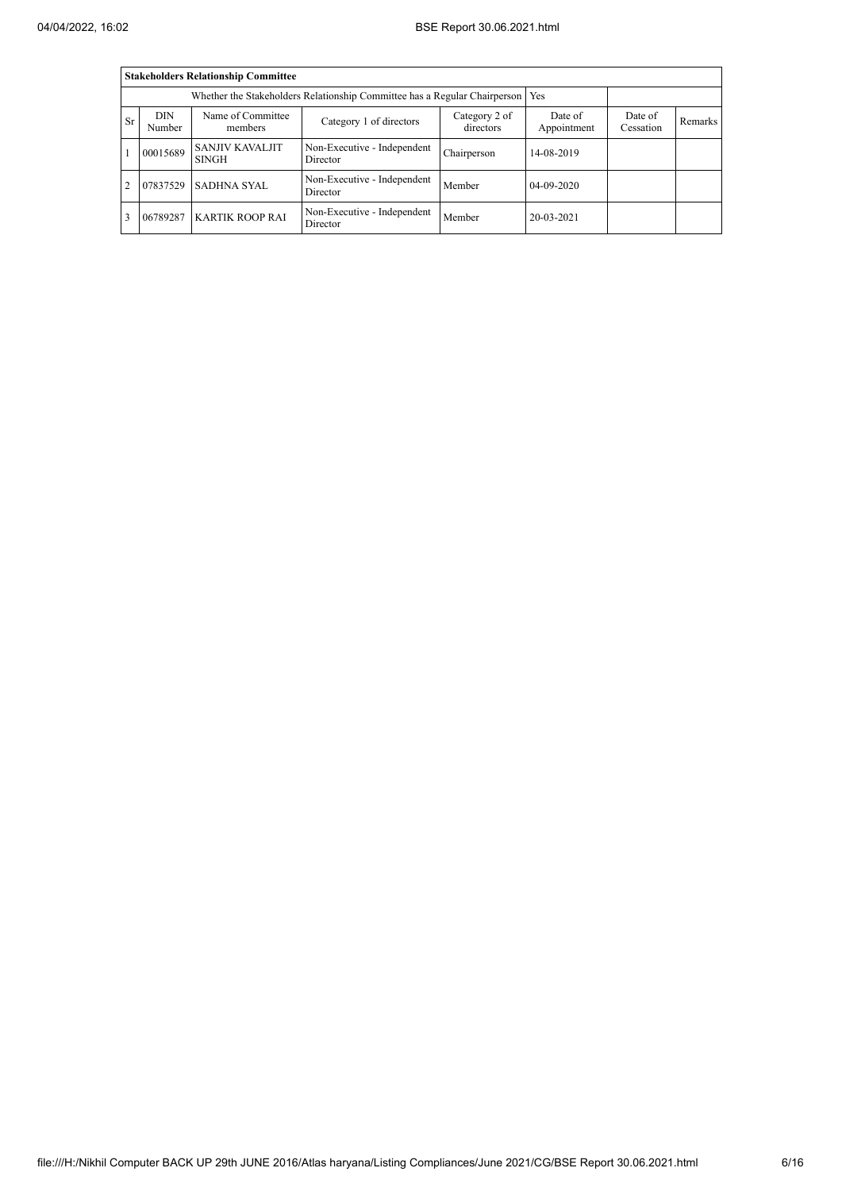|                |                      | <b>Stakeholders Relationship Committee</b>                                      |                                         |                            |                        |                      |         |
|----------------|----------------------|---------------------------------------------------------------------------------|-----------------------------------------|----------------------------|------------------------|----------------------|---------|
|                |                      | Whether the Stakeholders Relationship Committee has a Regular Chairperson   Yes |                                         |                            |                        |                      |         |
| <b>Sr</b>      | <b>DIN</b><br>Number | Name of Committee<br>members                                                    | Category 1 of directors                 | Category 2 of<br>directors | Date of<br>Appointment | Date of<br>Cessation | Remarks |
|                | 00015689             | <b>SANJIV KAVALJIT</b><br><b>SINGH</b>                                          | Non-Executive - Independent<br>Director | Chairperson                | 14-08-2019             |                      |         |
| $\overline{2}$ | 07837529             | <b>SADHNA SYAL</b>                                                              | Non-Executive - Independent<br>Director | Member                     | $04 - 09 - 2020$       |                      |         |
| 3              | 06789287             | <b>KARTIK ROOP RAI</b>                                                          | Non-Executive - Independent<br>Director | Member                     | 20-03-2021             |                      |         |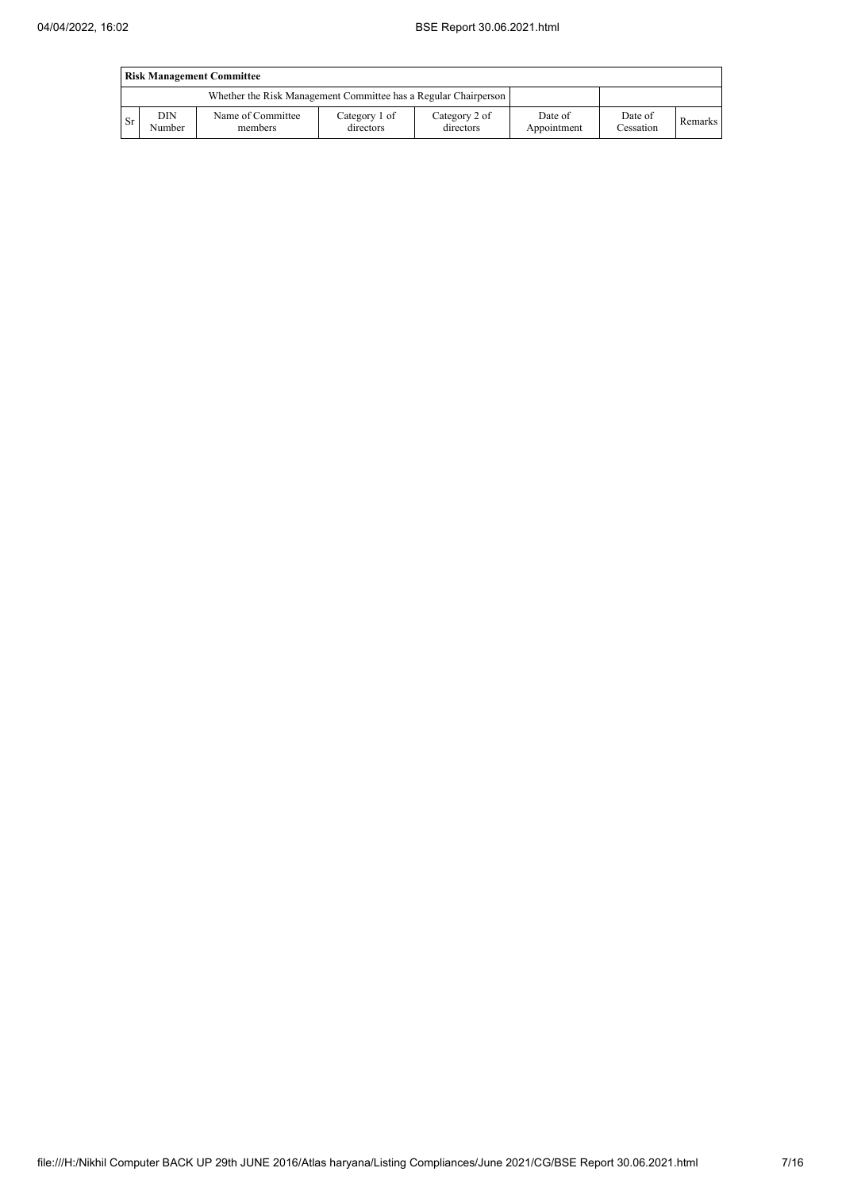|                                                                 | <b>Risk Management Committee</b> |                              |                            |                            |                        |                      |         |  |  |
|-----------------------------------------------------------------|----------------------------------|------------------------------|----------------------------|----------------------------|------------------------|----------------------|---------|--|--|
| Whether the Risk Management Committee has a Regular Chairperson |                                  |                              |                            |                            |                        |                      |         |  |  |
| <b>Sr</b>                                                       | DIN<br>Number                    | Name of Committee<br>members | Category 1 of<br>directors | Category 2 of<br>directors | Date of<br>Appointment | Date of<br>Cessation | Remarks |  |  |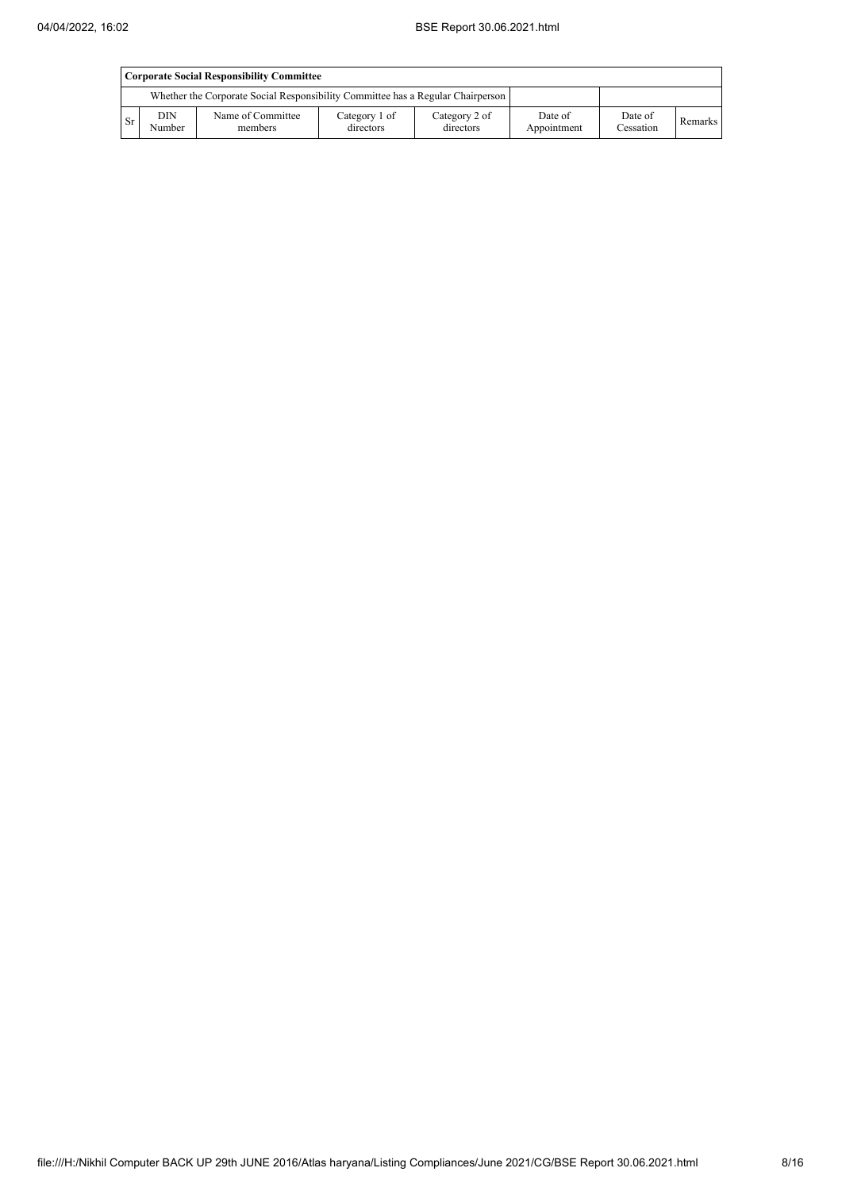|           | Corporate Social Responsibility Committee |                                                                                 |                            |                            |                        |                      |         |  |  |
|-----------|-------------------------------------------|---------------------------------------------------------------------------------|----------------------------|----------------------------|------------------------|----------------------|---------|--|--|
|           |                                           | Whether the Corporate Social Responsibility Committee has a Regular Chairperson |                            |                            |                        |                      |         |  |  |
| <b>Sr</b> | DIN<br>Number                             | Name of Committee<br>members                                                    | Category 1 of<br>directors | Category 2 of<br>directors | Date of<br>Appointment | Date of<br>Cessation | Remarks |  |  |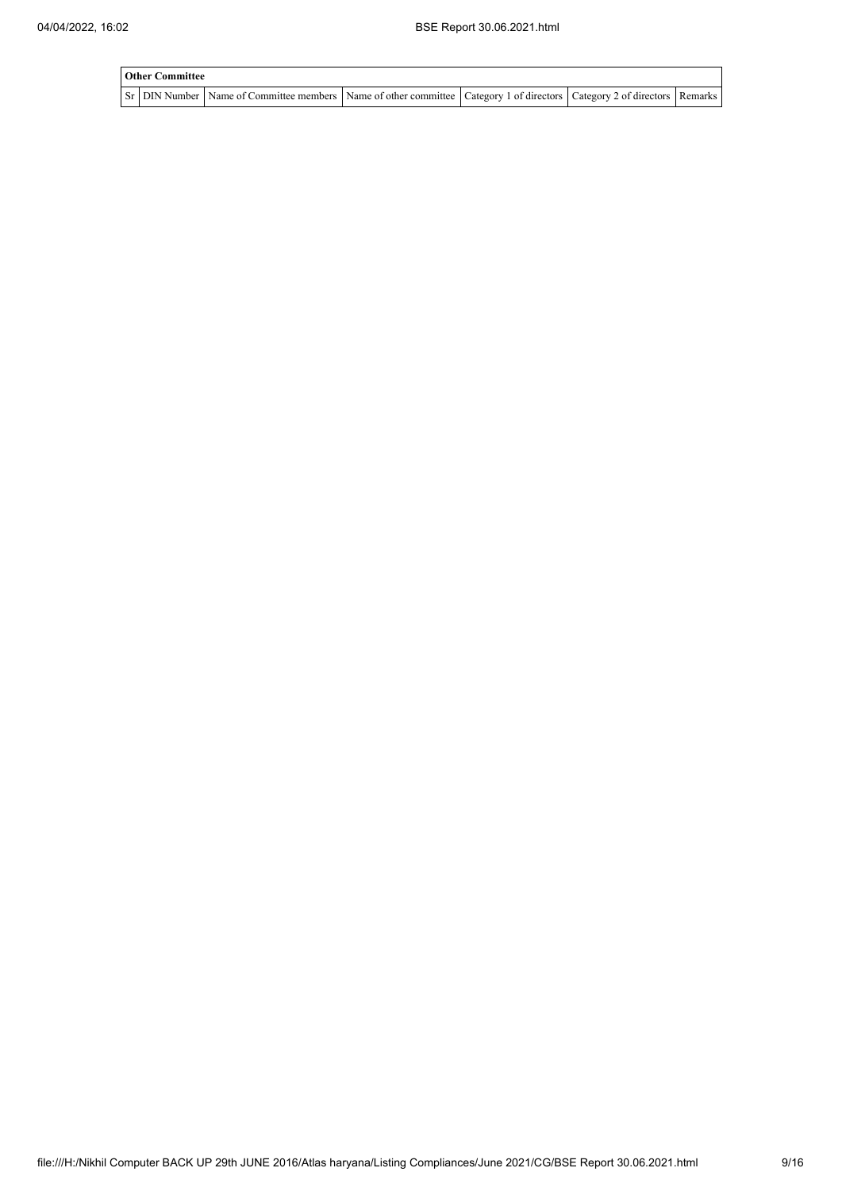| <b>Other Committee</b> |                                                                                                                                     |  |  |  |  |  |  |  |
|------------------------|-------------------------------------------------------------------------------------------------------------------------------------|--|--|--|--|--|--|--|
|                        | Sr   DIN Number   Name of Committee members   Name of other committee   Category 1 of directors   Category 2 of directors   Remarks |  |  |  |  |  |  |  |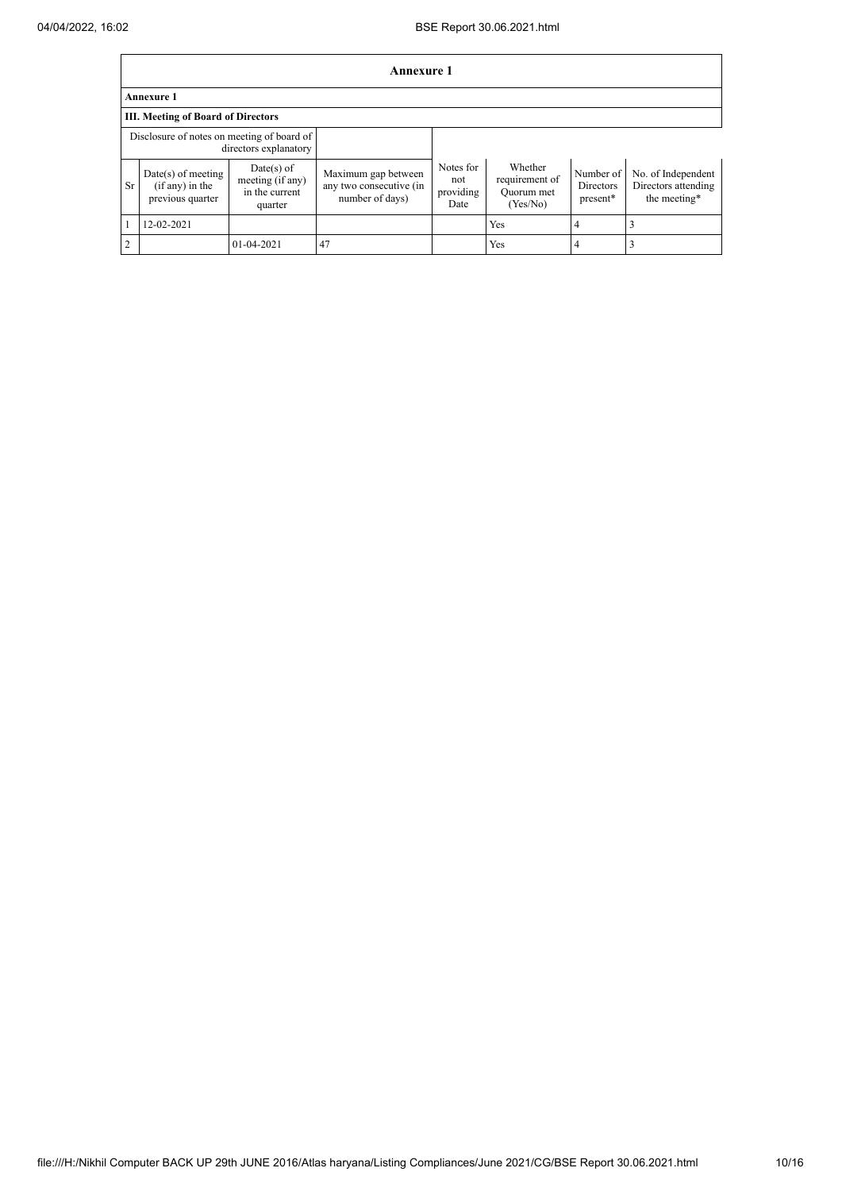|                | <b>Annexure 1</b>                                             |                                                               |                                                                   |                                       |                                                     |                                           |                                                           |  |  |
|----------------|---------------------------------------------------------------|---------------------------------------------------------------|-------------------------------------------------------------------|---------------------------------------|-----------------------------------------------------|-------------------------------------------|-----------------------------------------------------------|--|--|
|                | <b>Annexure 1</b>                                             |                                                               |                                                                   |                                       |                                                     |                                           |                                                           |  |  |
|                | <b>III. Meeting of Board of Directors</b>                     |                                                               |                                                                   |                                       |                                                     |                                           |                                                           |  |  |
|                | Disclosure of notes on meeting of board of                    | directors explanatory                                         |                                                                   |                                       |                                                     |                                           |                                                           |  |  |
| <b>Sr</b>      | $Date(s)$ of meeting<br>$(if any)$ in the<br>previous quarter | $Date(s)$ of<br>meeting (if any)<br>in the current<br>quarter | Maximum gap between<br>any two consecutive (in<br>number of days) | Notes for<br>not<br>providing<br>Date | Whether<br>requirement of<br>Quorum met<br>(Yes/No) | Number of<br><b>Directors</b><br>present* | No. of Independent<br>Directors attending<br>the meeting* |  |  |
|                | 12-02-2021                                                    |                                                               |                                                                   |                                       | Yes                                                 | 4                                         |                                                           |  |  |
| $\overline{2}$ |                                                               | 01-04-2021                                                    | 47                                                                |                                       | Yes                                                 | 4                                         |                                                           |  |  |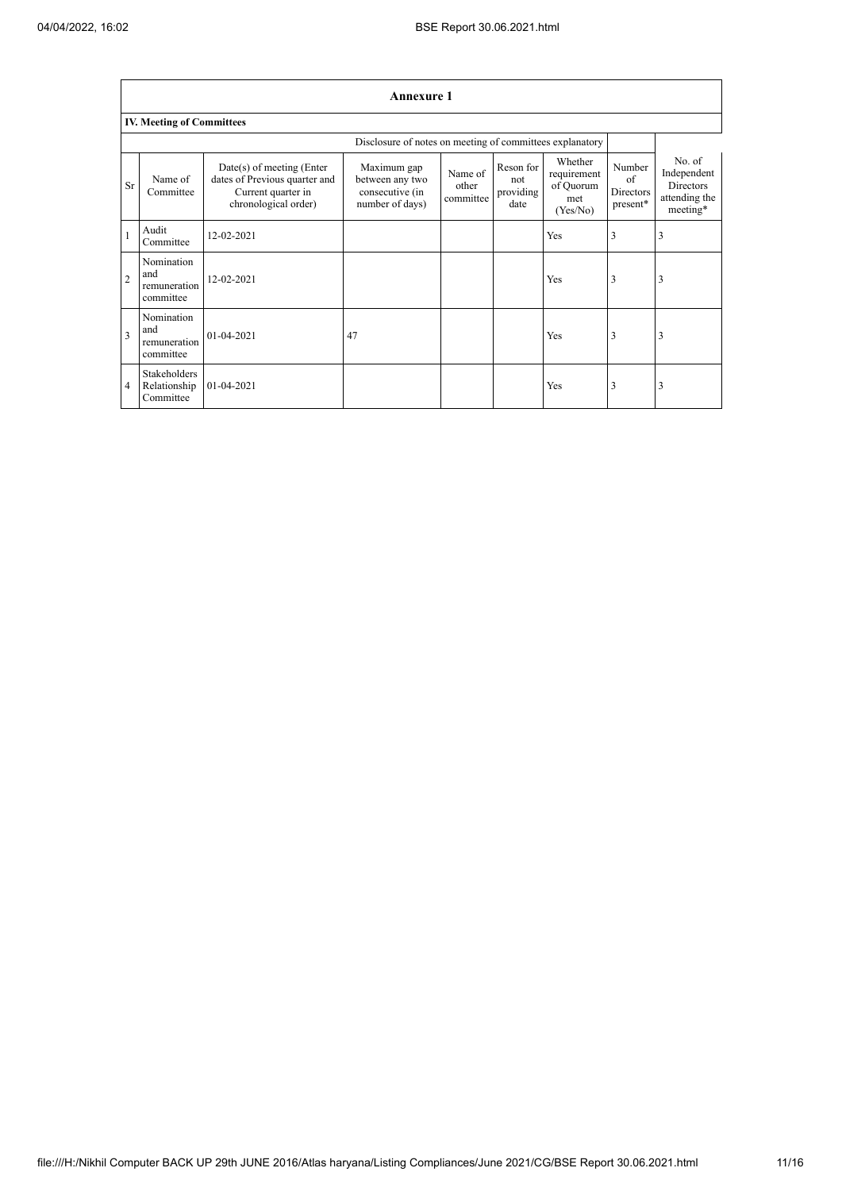|                         | <b>Annexure 1</b>                                |                                                                                                            |                                                                      |                               |                                       |                                                        |                                       |                                                                 |  |
|-------------------------|--------------------------------------------------|------------------------------------------------------------------------------------------------------------|----------------------------------------------------------------------|-------------------------------|---------------------------------------|--------------------------------------------------------|---------------------------------------|-----------------------------------------------------------------|--|
|                         | <b>IV. Meeting of Committees</b>                 |                                                                                                            |                                                                      |                               |                                       |                                                        |                                       |                                                                 |  |
|                         |                                                  |                                                                                                            | Disclosure of notes on meeting of committees explanatory             |                               |                                       |                                                        |                                       |                                                                 |  |
| Sr                      | Name of<br>Committee                             | $Date(s)$ of meeting (Enter<br>dates of Previous quarter and<br>Current quarter in<br>chronological order) | Maximum gap<br>between any two<br>consecutive (in<br>number of days) | Name of<br>other<br>committee | Reson for<br>not<br>providing<br>date | Whether<br>requirement<br>of Quorum<br>met<br>(Yes/No) | Number<br>of<br>Directors<br>present* | No. of<br>Independent<br>Directors<br>attending the<br>meeting* |  |
|                         | Audit<br>Committee                               | 12-02-2021                                                                                                 |                                                                      |                               |                                       | Yes                                                    | 3                                     | 3                                                               |  |
| $\overline{2}$          | Nomination<br>and<br>remuneration<br>committee   | 12-02-2021                                                                                                 |                                                                      |                               |                                       | Yes                                                    | 3                                     | 3                                                               |  |
| $\overline{\mathbf{3}}$ | Nomination<br>and<br>remuneration<br>committee   | $01 - 04 - 2021$                                                                                           | 47                                                                   |                               |                                       | Yes                                                    | 3                                     | 3                                                               |  |
| 4                       | <b>Stakeholders</b><br>Relationship<br>Committee | 01-04-2021                                                                                                 |                                                                      |                               |                                       | Yes                                                    | 3                                     | 3                                                               |  |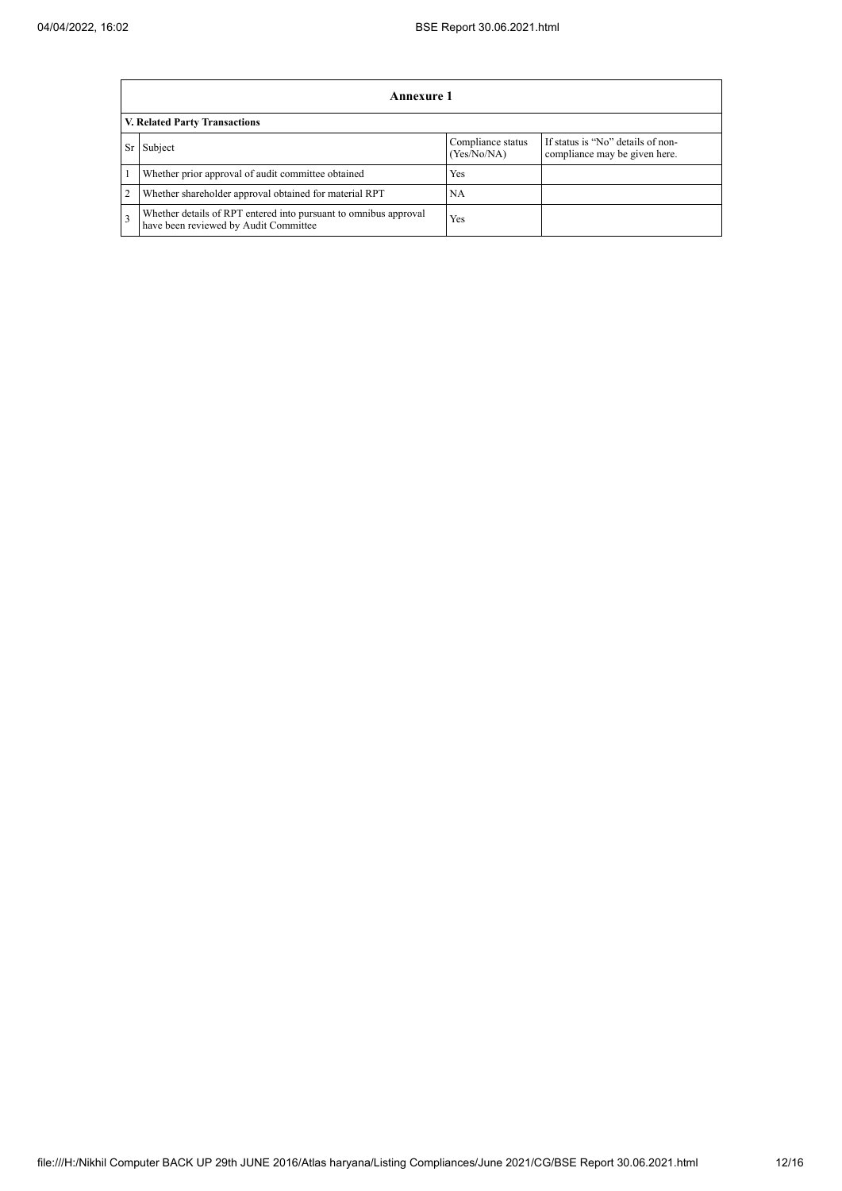|    | Annexure 1                                                                                                |                                  |                                                                    |  |  |  |  |  |
|----|-----------------------------------------------------------------------------------------------------------|----------------------------------|--------------------------------------------------------------------|--|--|--|--|--|
|    | V. Related Party Transactions                                                                             |                                  |                                                                    |  |  |  |  |  |
| Sr | Subject                                                                                                   | Compliance status<br>(Yes/No/NA) | If status is "No" details of non-<br>compliance may be given here. |  |  |  |  |  |
|    | Whether prior approval of audit committee obtained                                                        | Yes                              |                                                                    |  |  |  |  |  |
| 2  | Whether shareholder approval obtained for material RPT                                                    | NA                               |                                                                    |  |  |  |  |  |
|    | Whether details of RPT entered into pursuant to omnibus approval<br>have been reviewed by Audit Committee | Yes                              |                                                                    |  |  |  |  |  |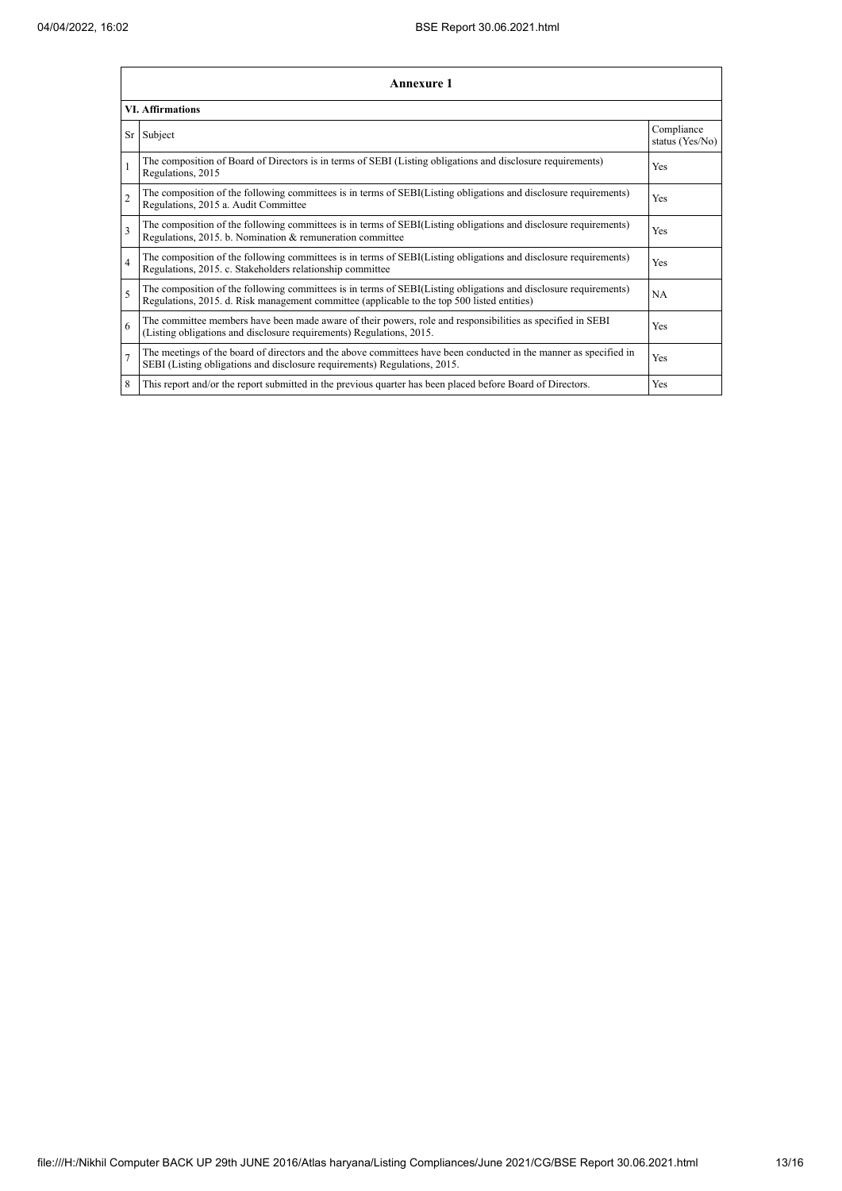| <b>Annexure 1</b><br><b>VI. Affirmations</b> |                                                                                                                                                                                                                 |     |  |  |
|----------------------------------------------|-----------------------------------------------------------------------------------------------------------------------------------------------------------------------------------------------------------------|-----|--|--|
|                                              |                                                                                                                                                                                                                 |     |  |  |
|                                              | The composition of Board of Directors is in terms of SEBI (Listing obligations and disclosure requirements)<br>Regulations, 2015                                                                                | Yes |  |  |
| $\overline{2}$                               | The composition of the following committees is in terms of SEBI(Listing obligations and disclosure requirements)<br>Regulations, 2015 a. Audit Committee                                                        | Yes |  |  |
| 3                                            | The composition of the following committees is in terms of SEBI(Listing obligations and disclosure requirements)<br>Regulations, 2015. b. Nomination & remuneration committee                                   | Yes |  |  |
| $\overline{4}$                               | The composition of the following committees is in terms of SEBI(Listing obligations and disclosure requirements)<br>Regulations, 2015. c. Stakeholders relationship committee                                   | Yes |  |  |
| 5                                            | The composition of the following committees is in terms of SEBI(Listing obligations and disclosure requirements)<br>Regulations, 2015. d. Risk management committee (applicable to the top 500 listed entities) | NA  |  |  |
| 6                                            | The committee members have been made aware of their powers, role and responsibilities as specified in SEBI<br>(Listing obligations and disclosure requirements) Regulations, 2015.                              | Yes |  |  |
| $\overline{7}$                               | The meetings of the board of directors and the above committees have been conducted in the manner as specified in<br>SEBI (Listing obligations and disclosure requirements) Regulations, 2015.                  | Yes |  |  |
| 8                                            | This report and/or the report submitted in the previous quarter has been placed before Board of Directors.                                                                                                      | Yes |  |  |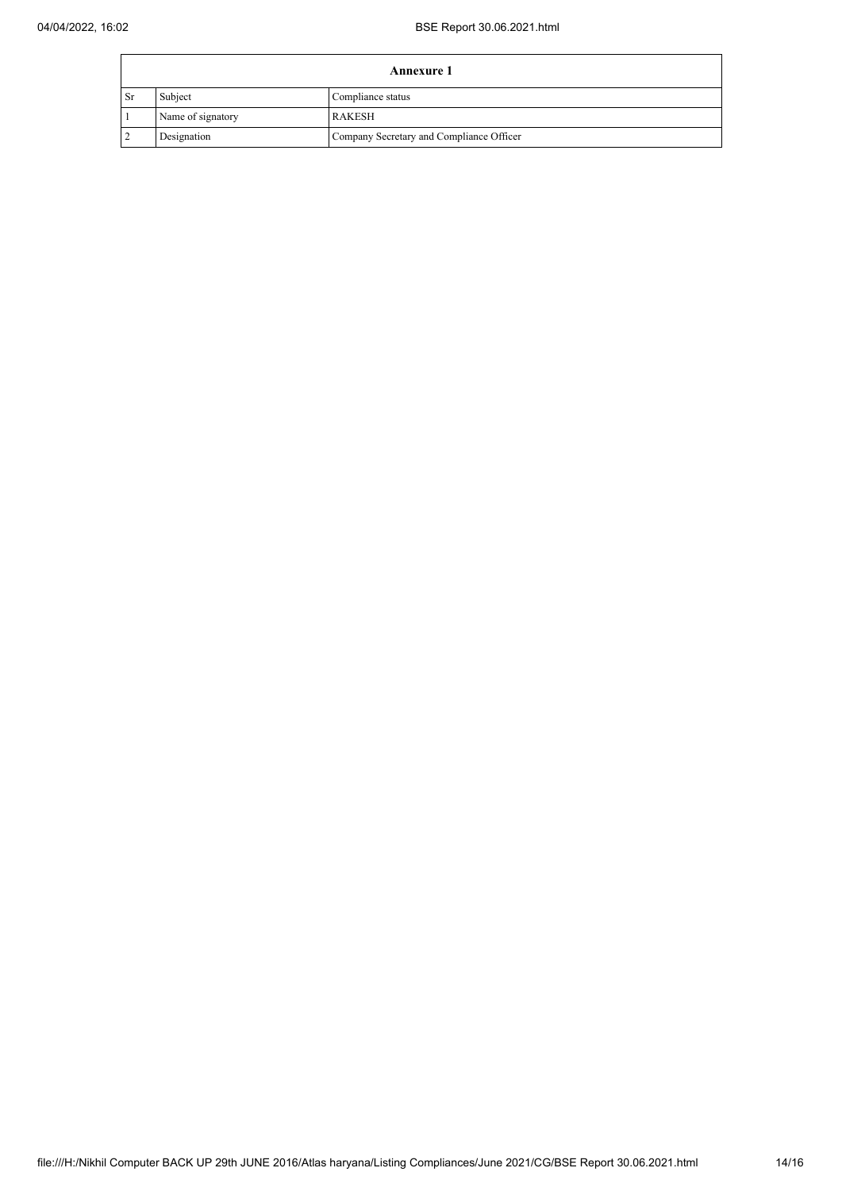| <b>Annexure 1</b> |                   |                                          |  |
|-------------------|-------------------|------------------------------------------|--|
| l Sr              | Subject           | Compliance status                        |  |
|                   | Name of signatory | <b>RAKESH</b>                            |  |
|                   | Designation       | Company Secretary and Compliance Officer |  |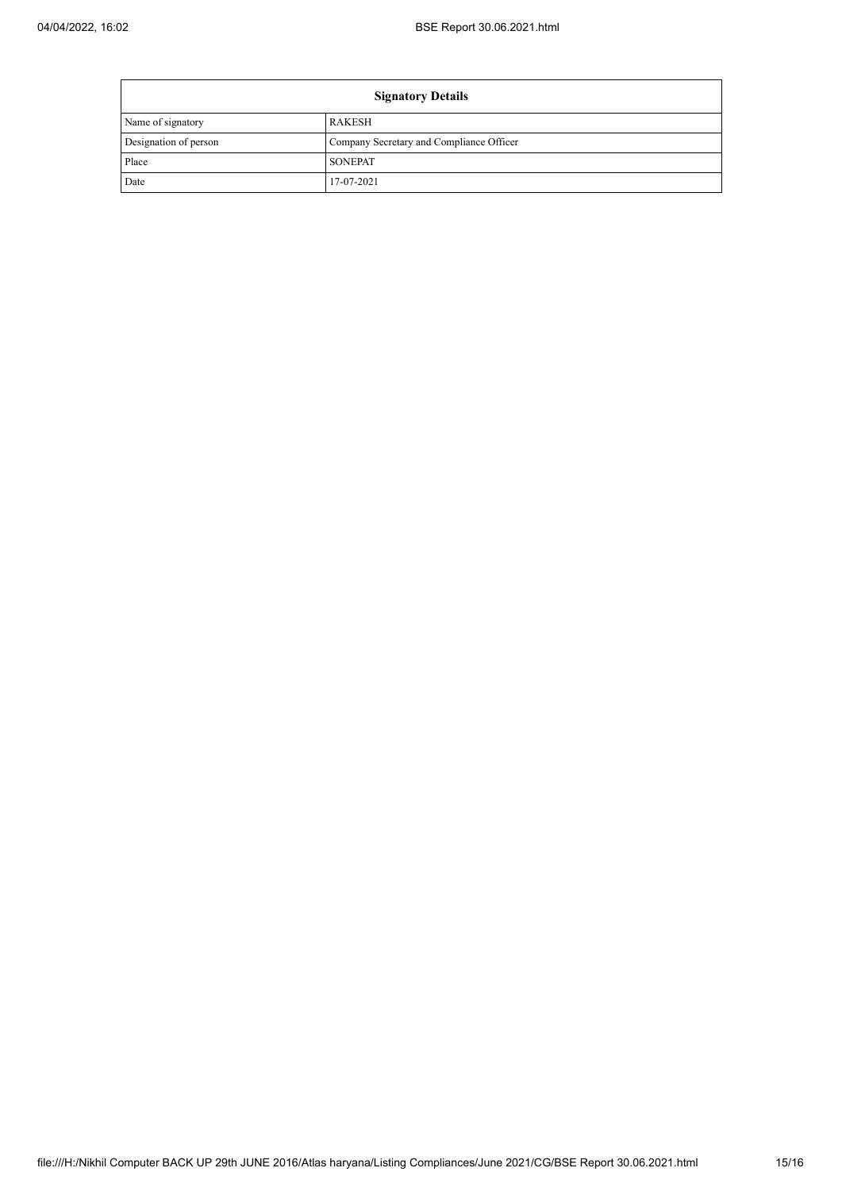Ē

| <b>Signatory Details</b> |                                          |  |
|--------------------------|------------------------------------------|--|
| Name of signatory        | <b>RAKESH</b>                            |  |
| Designation of person    | Company Secretary and Compliance Officer |  |
| Place                    | <b>SONEPAT</b>                           |  |
| Date                     | 17-07-2021                               |  |